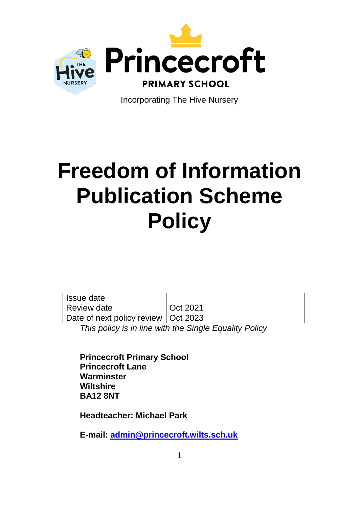

Incorporating The Hive Nursery

# **Freedom of Information Publication Scheme Policy**

Issue date Review date **COL COL Oct 2021** Date of next policy review | Oct 2023

*This policy is in line with the Single Equality Policy*

**Princecroft Primary School Princecroft Lane Warminster Wiltshire BA12 8NT**

**Headteacher: Michael Park**

**E-mail: [admin@princecroft.wilts.sch.uk](mailto:admin@princecroft.wilts.sch.uk)**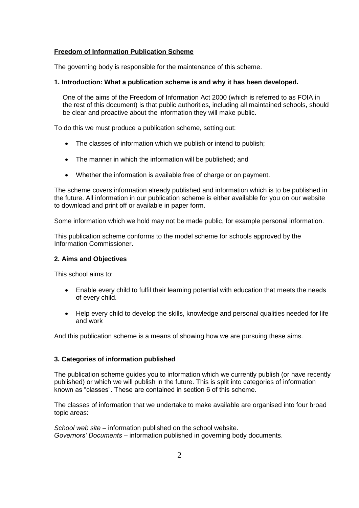# **Freedom of Information Publication Scheme**

The governing body is responsible for the maintenance of this scheme.

## **1. Introduction: What a publication scheme is and why it has been developed.**

One of the aims of the Freedom of Information Act 2000 (which is referred to as FOIA in the rest of this document) is that public authorities, including all maintained schools, should be clear and proactive about the information they will make public.

To do this we must produce a publication scheme, setting out:

- The classes of information which we publish or intend to publish;
- The manner in which the information will be published: and
- Whether the information is available free of charge or on payment.

The scheme covers information already published and information which is to be published in the future. All information in our publication scheme is either available for you on our website to download and print off or available in paper form.

Some information which we hold may not be made public, for example personal information.

This publication scheme conforms to the model scheme for schools approved by the Information Commissioner.

#### **2. Aims and Objectives**

This school aims to:

- Enable every child to fulfil their learning potential with education that meets the needs of every child.
- Help every child to develop the skills, knowledge and personal qualities needed for life and work

And this publication scheme is a means of showing how we are pursuing these aims.

## **3. Categories of information published**

The publication scheme guides you to information which we currently publish (or have recently published) or which we will publish in the future. This is split into categories of information known as "classes". These are contained in section 6 of this scheme.

The classes of information that we undertake to make available are organised into four broad topic areas:

*School web site* – information published on the school website. *Governors' Documents* – information published in governing body documents.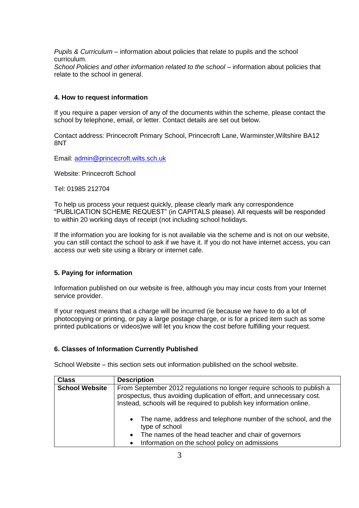*Pupils & Curriculum* – information about policies that relate to pupils and the school curriculum. *School Policies and other information related to the school* – information about policies that relate to the school in general.

## **4. How to request information**

If you require a paper version of any of the documents within the scheme, please contact the school by telephone, email, or letter. Contact details are set out below.

Contact address: Princecroft Primary School, Princecroft Lane, Warminster,Wiltshire BA12 8NT

Email: [admin@princecroft.wilts.sch.uk](mailto:admin@princecroft.wilts.sch.uk)

Website: Princecroft School

Tel: 01985 212704

To help us process your request quickly, please clearly mark any correspondence "PUBLICATION SCHEME REQUEST" (in CAPITALS please). All requests will be responded to within 20 working days of receipt (not including school holidays.

If the information you are looking for is not available via the scheme and is not on our website, you can still contact the school to ask if we have it. If you do not have internet access, you can access our web site using a library or internet cafe.

#### **5. Paying for information**

Information published on our website is free, although you may incur costs from your Internet service provider.

If your request means that a charge will be incurred (ie because we have to do a lot of photocopying or printing, or pay a large postage charge, or is for a priced item such as some printed publications or videos)we will let you know the cost before fulfilling your request.

### **6. Classes of Information Currently Published**

School Website – this section sets out information published on the school website.

| <b>Class</b>          | <b>Description</b>                                                                                                                                                                                                               |
|-----------------------|----------------------------------------------------------------------------------------------------------------------------------------------------------------------------------------------------------------------------------|
| <b>School Website</b> | From September 2012 regulations no longer require schools to publish a<br>prospectus, thus avoiding duplication of effort, and unnecessary cost.<br>Instead, schools will be required to publish key information online.         |
|                       | The name, address and telephone number of the school, and the<br>$\bullet$<br>type of school<br>The names of the head teacher and chair of governors<br>$\bullet$<br>Information on the school policy on admissions<br>$\bullet$ |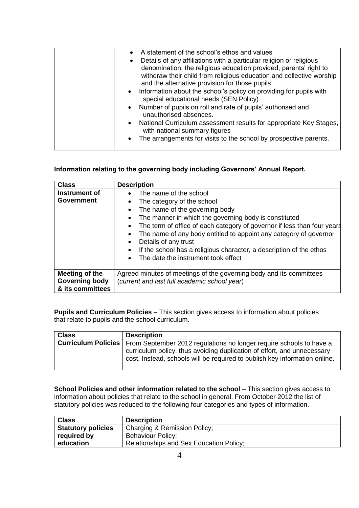| A statement of the school's ethos and values<br>Details of any affiliations with a particular religion or religious<br>$\bullet$<br>denomination, the religious education provided, parents' right to<br>withdraw their child from religious education and collective worship<br>and the alternative provision for those pupils<br>• Information about the school's policy on providing for pupils with<br>special educational needs (SEN Policy)<br>• Number of pupils on roll and rate of pupils' authorised and<br>unauthorised absences.<br>National Curriculum assessment results for appropriate Key Stages,<br>$\bullet$<br>with national summary figures<br>$\bullet$ |
|-------------------------------------------------------------------------------------------------------------------------------------------------------------------------------------------------------------------------------------------------------------------------------------------------------------------------------------------------------------------------------------------------------------------------------------------------------------------------------------------------------------------------------------------------------------------------------------------------------------------------------------------------------------------------------|
| The arrangements for visits to the school by prospective parents.                                                                                                                                                                                                                                                                                                                                                                                                                                                                                                                                                                                                             |

# **Information relating to the governing body including Governors' Annual Report.**

| <b>Class</b>                                                | <b>Description</b>                                                                                                                                                                                                                                                                                                        |
|-------------------------------------------------------------|---------------------------------------------------------------------------------------------------------------------------------------------------------------------------------------------------------------------------------------------------------------------------------------------------------------------------|
| Instrument of<br><b>Government</b>                          | The name of the school<br>$\bullet$<br>The category of the school<br>$\bullet$<br>The name of the governing body<br>The manner in which the governing body is constituted<br>$\bullet$                                                                                                                                    |
|                                                             | The term of office of each category of governor if less than four years<br>The name of any body entitled to appoint any category of governor<br>Details of any trust<br>$\bullet$<br>If the school has a religious character, a description of the ethos<br>$\bullet$<br>The date the instrument took effect<br>$\bullet$ |
| Meeting of the<br><b>Governing body</b><br>& its committees | Agreed minutes of meetings of the governing body and its committees<br>(current and last full academic school year)                                                                                                                                                                                                       |

**Pupils and Curriculum Policies** – This section gives access to information about policies that relate to pupils and the school curriculum.

| <b>Class</b> | <b>Description</b>                                                                                                                                    |
|--------------|-------------------------------------------------------------------------------------------------------------------------------------------------------|
|              | <b>Curriculum Policies</b>   From September 2012 regulations no longer require schools to have a                                                      |
|              | curriculum policy, thus avoiding duplication of effort, and unnecessary<br>cost. Instead, schools will be required to publish key information online. |

**School Policies and other information related to the school** – This section gives access to information about policies that relate to the school in general. From October 2012 the list of statutory policies was reduced to the following four categories and types of information.

| <b>Class</b>              | <b>Description</b>                             |
|---------------------------|------------------------------------------------|
| <b>Statutory policies</b> | Charging & Remission Policy:                   |
| required by               | <b>Behaviour Policy;</b>                       |
| education                 | <b>Relationships and Sex Education Policy;</b> |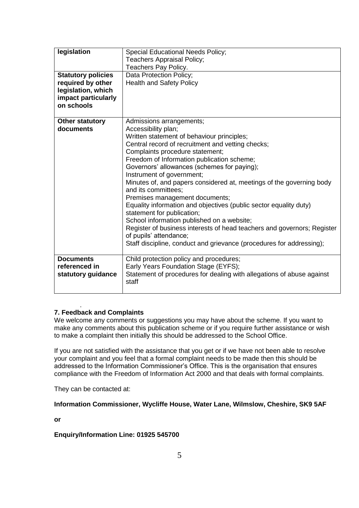| legislation<br><b>Statutory policies</b><br>required by other<br>legislation, which<br>impact particularly<br>on schools | <b>Special Educational Needs Policy;</b><br>Teachers Appraisal Policy;<br>Teachers Pay Policy.<br>Data Protection Policy;<br><b>Health and Safety Policy</b>                                                                                                                                                                                                                                                                                                                                                                                                                                                                                                                                                                                                                   |
|--------------------------------------------------------------------------------------------------------------------------|--------------------------------------------------------------------------------------------------------------------------------------------------------------------------------------------------------------------------------------------------------------------------------------------------------------------------------------------------------------------------------------------------------------------------------------------------------------------------------------------------------------------------------------------------------------------------------------------------------------------------------------------------------------------------------------------------------------------------------------------------------------------------------|
| <b>Other statutory</b><br>documents                                                                                      | Admissions arrangements;<br>Accessibility plan;<br>Written statement of behaviour principles;<br>Central record of recruitment and vetting checks;<br>Complaints procedure statement;<br>Freedom of Information publication scheme;<br>Governors' allowances (schemes for paying);<br>Instrument of government;<br>Minutes of, and papers considered at, meetings of the governing body<br>and its committees:<br>Premises management documents;<br>Equality information and objectives (public sector equality duty)<br>statement for publication;<br>School information published on a website;<br>Register of business interests of head teachers and governors; Register<br>of pupils' attendance;<br>Staff discipline, conduct and grievance (procedures for addressing); |
| <b>Documents</b><br>referenced in<br>statutory guidance                                                                  | Child protection policy and procedures;<br>Early Years Foundation Stage (EYFS);<br>Statement of procedures for dealing with allegations of abuse against<br>staff                                                                                                                                                                                                                                                                                                                                                                                                                                                                                                                                                                                                              |

### . **7. Feedback and Complaints**

We welcome any comments or suggestions you may have about the scheme. If you want to make any comments about this publication scheme or if you require further assistance or wish to make a complaint then initially this should be addressed to the School Office.

If you are not satisfied with the assistance that you get or if we have not been able to resolve your complaint and you feel that a formal complaint needs to be made then this should be addressed to the Information Commissioner's Office. This is the organisation that ensures compliance with the Freedom of Information Act 2000 and that deals with formal complaints.

They can be contacted at:

**Information Commissioner, Wycliffe House, Water Lane, Wilmslow, Cheshire, SK9 5AF** 

**or**

# **Enquiry/Information Line: 01925 545700**